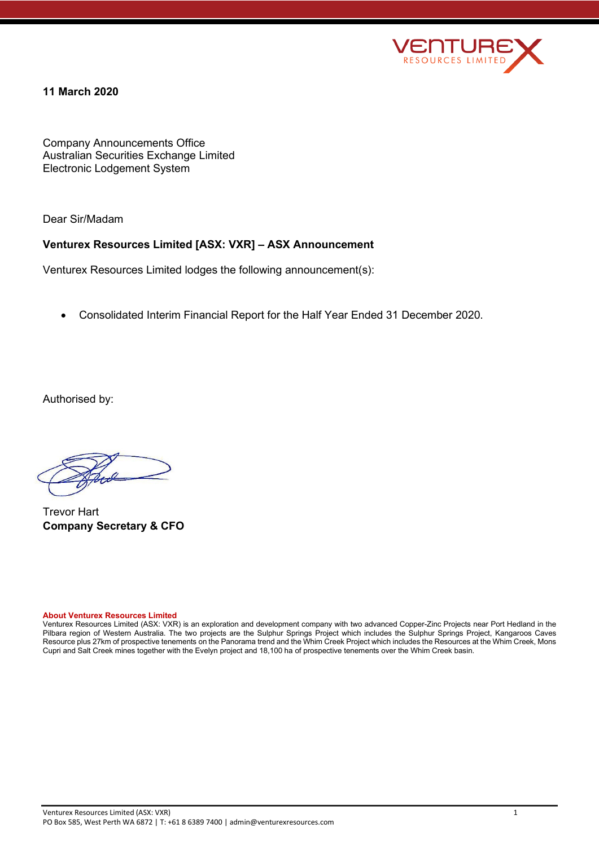

# **11 March 2020**

Company Announcements Office Australian Securities Exchange Limited Electronic Lodgement System

Dear Sir/Madam

# **Venturex Resources Limited [ASX: VXR] – ASX Announcement**

Venturex Resources Limited lodges the following announcement(s):

• Consolidated Interim Financial Report for the Half Year Ended 31 December 2020.

Authorised by:

Trevor Hart **Company Secretary & CFO**

#### **About Venturex Resources Limited**

Venturex Resources Limited (ASX: VXR) is an exploration and development company with two advanced Copper-Zinc Projects near Port Hedland in the Pilbara region of Western Australia. The two projects are the Sulphur Springs Project which includes the Sulphur Springs Project, Kangaroos Caves Resource plus 27km of prospective tenements on the Panorama trend and the Whim Creek Project which includes the Resources at the Whim Creek, Mons Cupri and Salt Creek mines together with the Evelyn project and 18,100 ha of prospective tenements over the Whim Creek basin.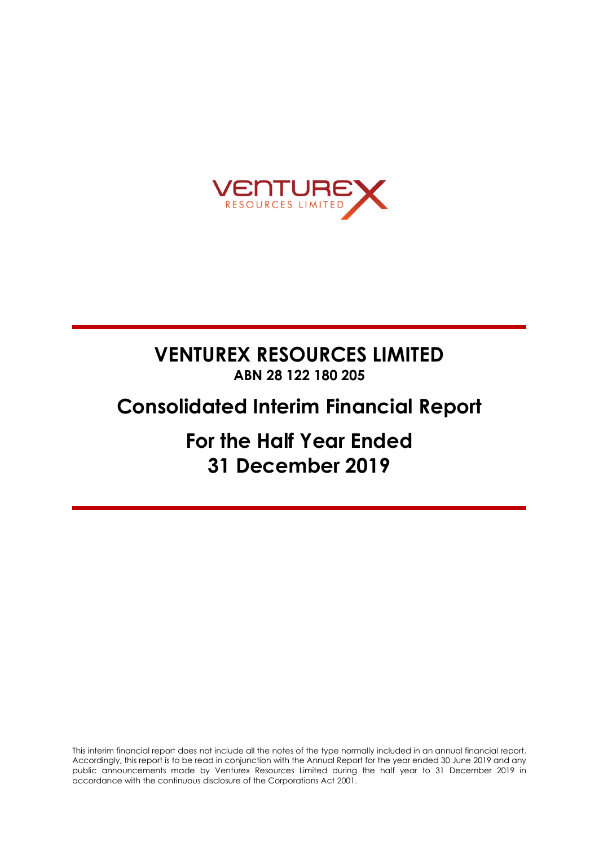

# **VENTUREX RESOURCES LIMITED ABN 28 122 180 205**

# **Consolidated Interim Financial Report**

**For the Half Year Ended 31 December 2019**

This interim financial report does not include all the notes of the type normally included in an annual financial report. Accordingly, this report is to be read in conjunction with the Annual Report for the year ended 30 June 2019 and any public announcements made by Venturex Resources Limited during the half year to 31 December 2019 in accordance with the continuous disclosure of the Corporations Act 2001.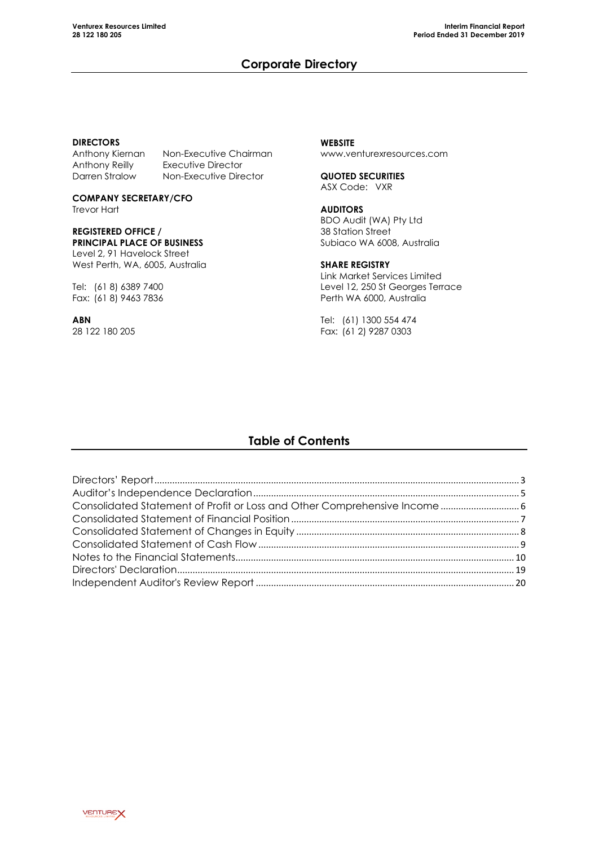# **Corporate Directory**

### **DIRECTORS**

Anthony Reilly Executive Director<br>
Darren Stralow Mon-Executive Dire

Anthony Kiernan Non-Executive Chairman<br>Anthony Reilly Executive Director Non-Executive Director

**COMPANY SECRETARY/CFO** Trevor Hart

### **REGISTERED OFFICE / PRINCIPAL PLACE OF BUSINESS** Level 2, 91 Havelock Street

West Perth, WA, 6005, Australia

Tel: (61 8) 6389 7400 Fax: (61 8) 9463 7836

**ABN** 28 122 180 205 **WEBSITE** www.venturexresources.com

**QUOTED SECURITIES** ASX Code: VXR

# **AUDITORS** BDO Audit (WA) Pty Ltd

38 Station Street Subiaco WA 6008, Australia

# **SHARE REGISTRY**

Link Market Services Limited Level 12, 250 St Georges Terrace Perth WA 6000, Australia

Tel: (61) 1300 554 474 Fax: (61 2) 9287 0303

# **Table of Contents**

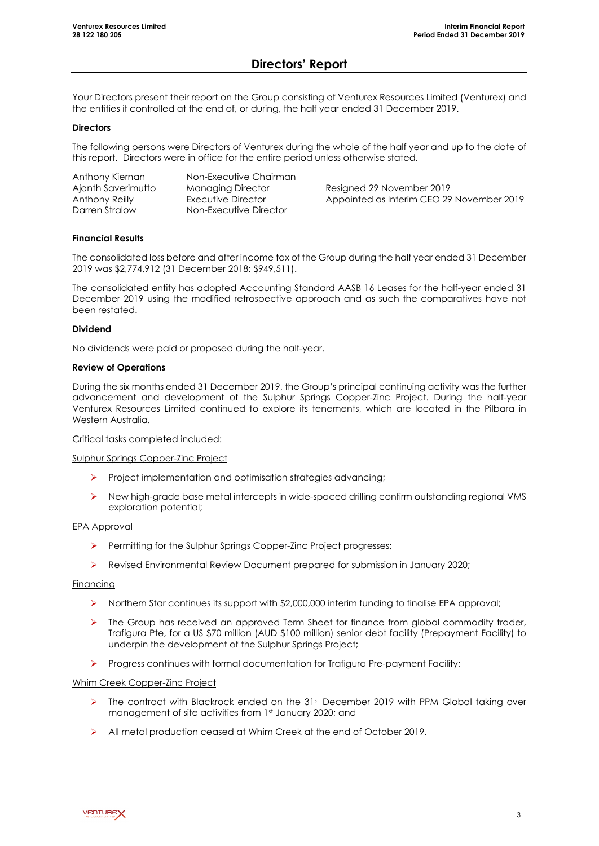# **Directors' Report**

Your Directors present their report on the Group consisting of Venturex Resources Limited (Venturex) and the entities it controlled at the end of, or during, the half year ended 31 December 2019.

### **Directors**

The following persons were Directors of Venturex during the whole of the half year and up to the date of this report. Directors were in office for the entire period unless otherwise stated.

| Anthony Kiernan    | Non-Executive Chairman   |                                           |
|--------------------|--------------------------|-------------------------------------------|
| Ajanth Saverimutto | <b>Managing Director</b> | Resigned 29 November 2019                 |
| Anthony Reilly     | Executive Director       | Appointed as Interim CEO 29 November 2019 |
| Darren Stralow     | Non-Executive Director   |                                           |

# **Financial Results**

The consolidated loss before and after income tax of the Group during the half year ended 31 December 2019 was \$2,774,912 (31 December 2018: \$949,511).

The consolidated entity has adopted Accounting Standard AASB 16 Leases for the half-year ended 31 December 2019 using the modified retrospective approach and as such the comparatives have not been restated.

# **Dividend**

No dividends were paid or proposed during the half-year.

# **Review of Operations**

During the six months ended 31 December 2019, the Group's principal continuing activity was the further advancement and development of the Sulphur Springs Copper-Zinc Project. During the half-year Venturex Resources Limited continued to explore its tenements, which are located in the Pilbara in Western Australia.

Critical tasks completed included:

### Sulphur Springs Copper-Zinc Project

- $\triangleright$  Project implementation and optimisation strategies advancing;
- New high-grade base metal intercepts in wide-spaced drilling confirm outstanding regional VMS exploration potential;

# EPA Approval

- Permitting for the Sulphur Springs Copper-Zinc Project progresses;
- Revised Environmental Review Document prepared for submission in January 2020;

### **Financing**

- $\triangleright$  Northern Star continues its support with \$2,000,000 interim funding to finalise EPA approval;
- $\triangleright$  The Group has received an approved Term Sheet for finance from global commodity trader, Trafigura Pte, for a US \$70 million (AUD \$100 million) senior debt facility (Prepayment Facility) to underpin the development of the Sulphur Springs Project;
- Progress continues with formal documentation for Trafigura Pre-payment Facility;

### Whim Creek Copper-Zinc Project

- $\triangleright$  The contract with Blackrock ended on the 31st December 2019 with PPM Global taking over management of site activities from 1st January 2020; and
- All metal production ceased at Whim Creek at the end of October 2019.

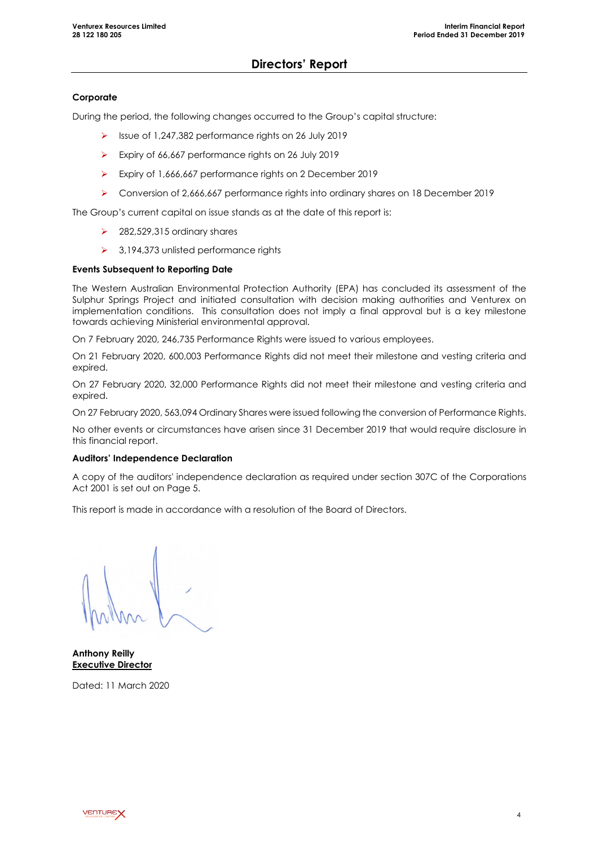# **Directors' Report**

# **Corporate**

During the period, the following changes occurred to the Group's capital structure:

- $\triangleright$  Issue of 1,247,382 performance rights on 26 July 2019
- Expiry of 66,667 performance rights on 26 July 2019
- Expiry of 1,666,667 performance rights on 2 December 2019
- Conversion of 2,666,667 performance rights into ordinary shares on 18 December 2019

The Group's current capital on issue stands as at the date of this report is:

- $\geq$  282,529,315 ordinary shares
- $\geq$  3,194,373 unlisted performance rights

# **Events Subsequent to Reporting Date**

The Western Australian Environmental Protection Authority (EPA) has concluded its assessment of the Sulphur Springs Project and initiated consultation with decision making authorities and Venturex on implementation conditions. This consultation does not imply a final approval but is a key milestone towards achieving Ministerial environmental approval.

On 7 February 2020, 246,735 Performance Rights were issued to various employees.

On 21 February 2020, 600,003 Performance Rights did not meet their milestone and vesting criteria and expired.

On 27 February 2020, 32,000 Performance Rights did not meet their milestone and vesting criteria and expired.

On 27 February 2020, 563,094 Ordinary Shares were issued following the conversion of Performance Rights.

No other events or circumstances have arisen since 31 December 2019 that would require disclosure in this financial report.

### **Auditors' Independence Declaration**

A copy of the auditors' independence declaration as required under section 307C of the Corporations Act 2001 is set out on Page 5.

This report is made in accordance with a resolution of the Board of Directors.

**Anthony Reilly Executive Director**

Dated: 11 March 2020

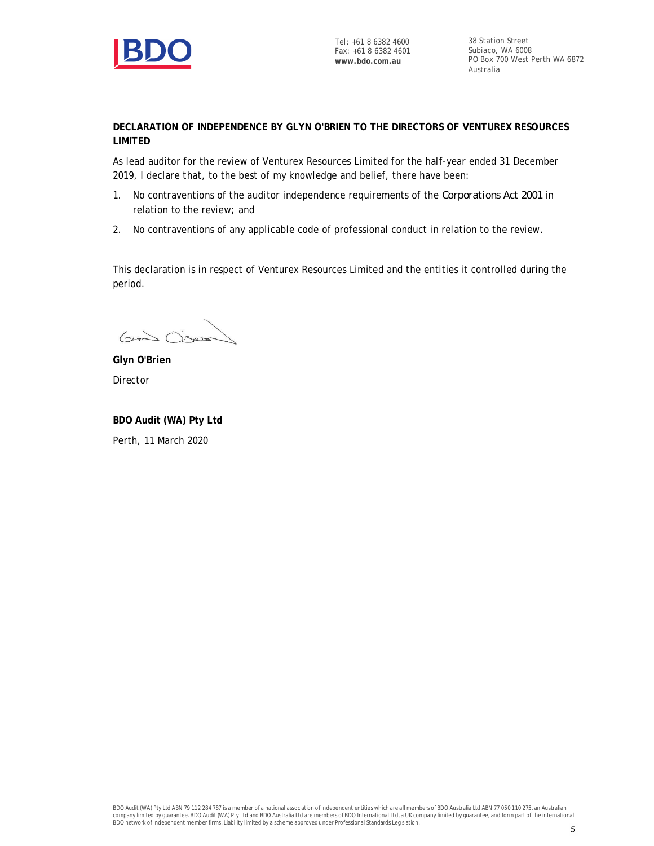

Tel: +61 8 6382 4600 Fax: +61 8 6382 4601 **www.bdo.com.au**

38 Station Street Subiaco, WA 6008 PO Box 700 West Perth WA 6872 Australia

**DECLARATION OF INDEPENDENCE BY GLYN O'BRIEN TO THE DIRECTORS OF VENTUREX RESOURCES LIMITED**

As lead auditor for the review of Venturex Resources Limited for the half-year ended 31 December 2019, I declare that, to the best of my knowledge and belief, there have been:

- 1. No contraventions of the auditor independence requirements of the *Corporations Act 2001* in relation to the review; and
- 2. No contraventions of any applicable code of professional conduct in relation to the review.

This declaration is in respect of Venturex Resources Limited and the entities it controlled during the period.

 $G\rightarrow\infty$ 

**Glyn O'Brien** Director

**BDO Audit (WA) Pty Ltd** Perth, 11 March 2020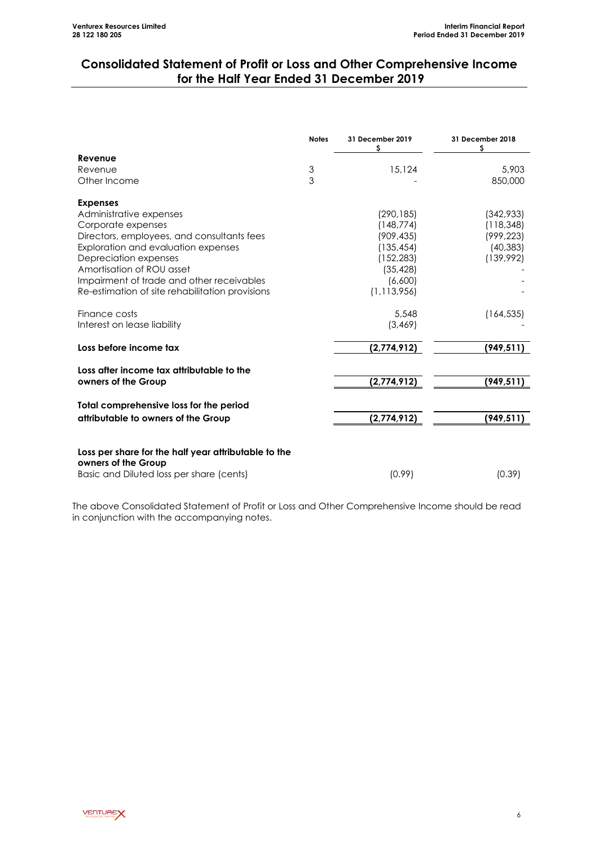# **Consolidated Statement of Profit or Loss and Other Comprehensive Income for the Half Year Ended 31 December 2019**

|                                                                             | <b>Notes</b> | 31 December 2019<br>\$ | 31 December 2018<br>s |
|-----------------------------------------------------------------------------|--------------|------------------------|-----------------------|
| Revenue                                                                     |              |                        |                       |
| Revenue                                                                     | 3            | 15,124                 | 5,903                 |
| Other Income                                                                | 3            |                        | 850,000               |
| <b>Expenses</b>                                                             |              |                        |                       |
| Administrative expenses                                                     |              | (290, 185)             | (342,933)             |
| Corporate expenses                                                          |              | (148, 774)             | (118, 348)            |
| Directors, employees, and consultants fees                                  |              | (909, 435)             | (999, 223)            |
| Exploration and evaluation expenses                                         |              | (135, 454)             | (40, 383)             |
| Depreciation expenses                                                       |              | (152, 283)             | (139,992)             |
| Amortisation of ROU asset                                                   |              | (35, 428)              |                       |
| Impairment of trade and other receivables                                   |              | (6,600)                |                       |
| Re-estimation of site rehabilitation provisions                             |              | (1, 113, 956)          |                       |
| Finance costs                                                               |              | 5,548                  | (164, 535)            |
| Interest on lease liability                                                 |              | (3, 469)               |                       |
| Loss before income tax                                                      |              | (2,774,912)            | (949, 511)            |
| Loss after income tax attributable to the                                   |              |                        |                       |
| owners of the Group                                                         |              | (2,774,912)            | (949,511)             |
| Total comprehensive loss for the period                                     |              |                        |                       |
| attributable to owners of the Group                                         |              | (2,774,912)            | (949, 511)            |
|                                                                             |              |                        |                       |
| Loss per share for the half year attributable to the<br>owners of the Group |              |                        |                       |
| Basic and Diluted loss per share (cents)                                    |              | (0.99)                 | (0.39)                |

The above Consolidated Statement of Profit or Loss and Other Comprehensive Income should be read in conjunction with the accompanying notes.

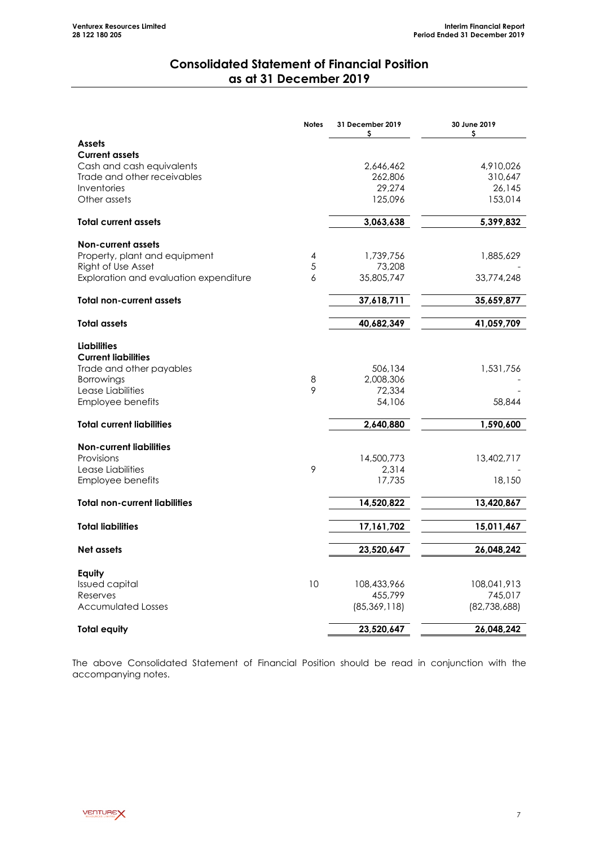# **Consolidated Statement of Financial Position as at 31 December 2019**

|                                        | <b>Notes</b> | 31 December 2019<br>\$ | 30 June 2019<br>\$ |
|----------------------------------------|--------------|------------------------|--------------------|
| <b>Assets</b>                          |              |                        |                    |
| <b>Current assets</b>                  |              |                        |                    |
| Cash and cash equivalents              |              | 2,646,462              | 4,910,026          |
| Trade and other receivables            |              | 262,806                | 310,647            |
| Inventories                            |              | 29,274                 | 26,145             |
| Other assets                           |              | 125,096                | 153,014            |
| <b>Total current assets</b>            |              | 3,063,638              | 5,399,832          |
| <b>Non-current assets</b>              |              |                        |                    |
| Property, plant and equipment          | 4            | 1,739,756              | 1,885,629          |
| Right of Use Asset                     | 5            | 73,208                 |                    |
| Exploration and evaluation expenditure | 6            | 35,805,747             | 33,774,248         |
| <b>Total non-current assets</b>        |              | 37,618,711             | 35,659,877         |
|                                        |              |                        |                    |
| <b>Total assets</b>                    |              | 40,682,349             | 41,059,709         |
| <b>Liabilities</b>                     |              |                        |                    |
| <b>Current liabilities</b>             |              |                        |                    |
| Trade and other payables               |              | 506,134                | 1,531,756          |
| Borrowings                             | 8            | 2,008,306              |                    |
| Lease Liabilities                      | 9            | 72,334                 |                    |
| Employee benefits                      |              | 54,106                 | 58,844             |
| <b>Total current liabilities</b>       |              | 2,640,880              | 1,590,600          |
| <b>Non-current liabilities</b>         |              |                        |                    |
| Provisions                             |              | 14,500,773             | 13,402,717         |
| Lease Liabilities                      | 9            | 2,314                  |                    |
| Employee benefits                      |              | 17,735                 | 18,150             |
| <b>Total non-current liabilities</b>   |              | 14,520,822             | 13,420,867         |
| <b>Total liabilities</b>               |              | 17,161,702             | 15,011,467         |
|                                        |              |                        |                    |
| Net assets                             |              | 23,520,647             | 26,048,242         |
| Equity                                 |              |                        |                    |
| <b>Issued capital</b>                  | 10           | 108,433,966            | 108,041,913        |
| Reserves                               |              | 455,799                | 745,017            |
| <b>Accumulated Losses</b>              |              | (85, 369, 118)         | (82,738,688)       |
| <b>Total equity</b>                    |              | 23,520,647             | 26,048,242         |

The above Consolidated Statement of Financial Position should be read in conjunction with the accompanying notes.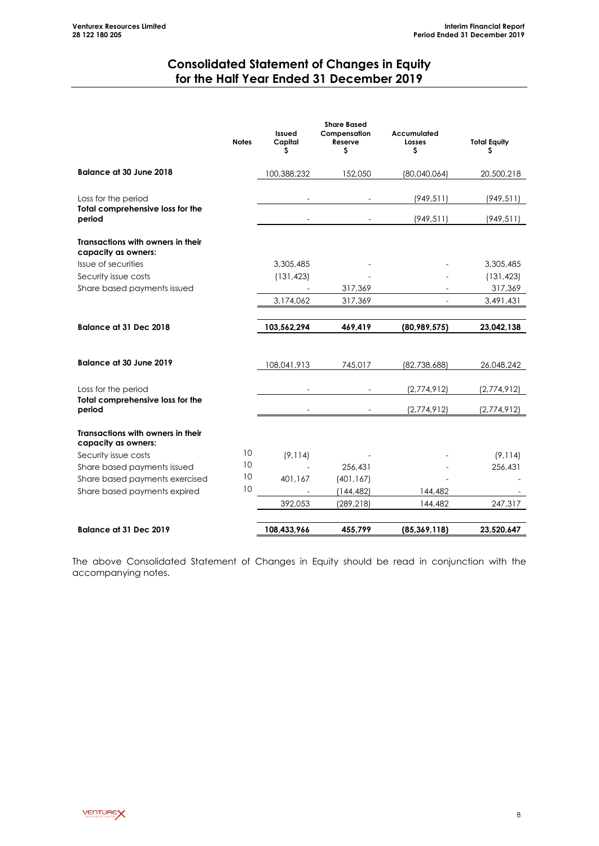# **Consolidated Statement of Changes in Equity for the Half Year Ended 31 December 2019**

|                                                          | <b>Notes</b> | Issued<br>Capital<br>S | <b>Share Based</b><br>Compensation<br>Reserve<br>S | Accumulated<br>Losses<br>\$ | <b>Total Equity</b><br>\$ |
|----------------------------------------------------------|--------------|------------------------|----------------------------------------------------|-----------------------------|---------------------------|
| <b>Balance at 30 June 2018</b>                           |              | 100,388,232            | 152,050                                            | (80,040,064)                | 20,500,218                |
| Loss for the period<br>Total comprehensive loss for the  |              |                        |                                                    | (949, 511)                  | (949, 511)                |
| period                                                   |              |                        |                                                    | (949, 511)                  | (949, 511)                |
| Transactions with owners in their<br>capacity as owners: |              |                        |                                                    |                             |                           |
| Issue of securities                                      |              | 3,305,485              |                                                    |                             | 3,305,485                 |
| Security issue costs                                     |              | (131, 423)             |                                                    |                             | (131, 423)                |
| Share based payments issued                              |              |                        | 317,369                                            |                             | 317,369                   |
|                                                          |              | 3,174,062              | 317,369                                            | $\overline{\phantom{0}}$    | 3,491,431                 |
| <b>Balance at 31 Dec 2018</b>                            |              | 103,562,294            | 469,419                                            | (80,989,575)                | 23,042,138                |
| <b>Balance at 30 June 2019</b>                           |              | 108,041,913            | 745,017                                            | (82,738,688)                | 26,048,242                |
| Loss for the period                                      |              |                        |                                                    | (2,774,912)                 | (2,774,912)               |
| Total comprehensive loss for the<br>period               |              |                        |                                                    | (2,774,912)                 | (2,774,912)               |
| Transactions with owners in their<br>capacity as owners: |              |                        |                                                    |                             |                           |
| Security issue costs                                     | 10           | (9, 114)               |                                                    |                             | (9, 114)                  |
| Share based payments issued                              | 10           |                        | 256,431                                            |                             | 256,431                   |
| Share based payments exercised                           | 10           | 401,167                | (401, 167)                                         |                             |                           |
| Share based payments expired                             | 10           |                        | (144, 482)                                         | 144,482                     |                           |
|                                                          |              | 392,053                | (289, 218)                                         | 144,482                     | 247,317                   |
| <b>Balance at 31 Dec 2019</b>                            |              | 108,433,966            | 455,799                                            | (85, 369, 118)              | 23,520,647                |

The above Consolidated Statement of Changes in Equity should be read in conjunction with the accompanying notes.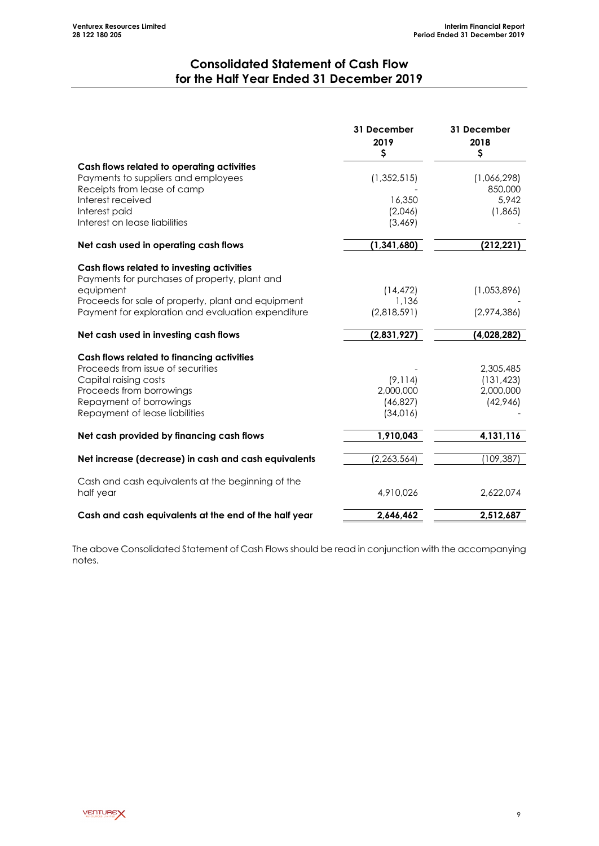# **Consolidated Statement of Cash Flow for the Half Year Ended 31 December 2019**

|                                                                                             | 31 December<br>2019<br>\$ | 31 December<br>2018<br>\$ |
|---------------------------------------------------------------------------------------------|---------------------------|---------------------------|
| Cash flows related to operating activities                                                  |                           |                           |
| Payments to suppliers and employees                                                         | (1, 352, 515)             | (1,066,298)               |
| Receipts from lease of camp                                                                 |                           | 850,000                   |
| Interest received                                                                           | 16,350                    | 5,942                     |
| Interest paid<br>Interest on lease liabilities                                              | (2,046)<br>(3, 469)       | (1,865)                   |
| Net cash used in operating cash flows                                                       | (1, 341, 680)             | (212, 221)                |
|                                                                                             |                           |                           |
| Cash flows related to investing activities<br>Payments for purchases of property, plant and |                           |                           |
| equipment                                                                                   | (14, 472)                 | (1,053,896)               |
| Proceeds for sale of property, plant and equipment                                          | 1,136                     |                           |
| Payment for exploration and evaluation expenditure                                          | (2,818,591)               | (2,974,386)               |
| Net cash used in investing cash flows                                                       | (2,831,927)               | (4,028,282)               |
| Cash flows related to financing activities                                                  |                           |                           |
| Proceeds from issue of securities                                                           |                           | 2,305,485                 |
| Capital raising costs                                                                       | (9, 114)                  | (131, 423)                |
| Proceeds from borrowings                                                                    | 2,000,000                 | 2,000,000                 |
| Repayment of borrowings                                                                     | (46, 827)                 | (42,946)                  |
| Repayment of lease liabilities                                                              | (34,016)                  |                           |
| Net cash provided by financing cash flows                                                   | 1,910,043                 | 4,131,116                 |
| Net increase (decrease) in cash and cash equivalents                                        | (2, 263, 564)             | (109, 387)                |
| Cash and cash equivalents at the beginning of the                                           |                           |                           |
| half year                                                                                   | 4,910,026                 | 2,622,074                 |
| Cash and cash equivalents at the end of the half year                                       | 2,646,462                 | 2,512,687                 |

The above Consolidated Statement of Cash Flows should be read in conjunction with the accompanying notes.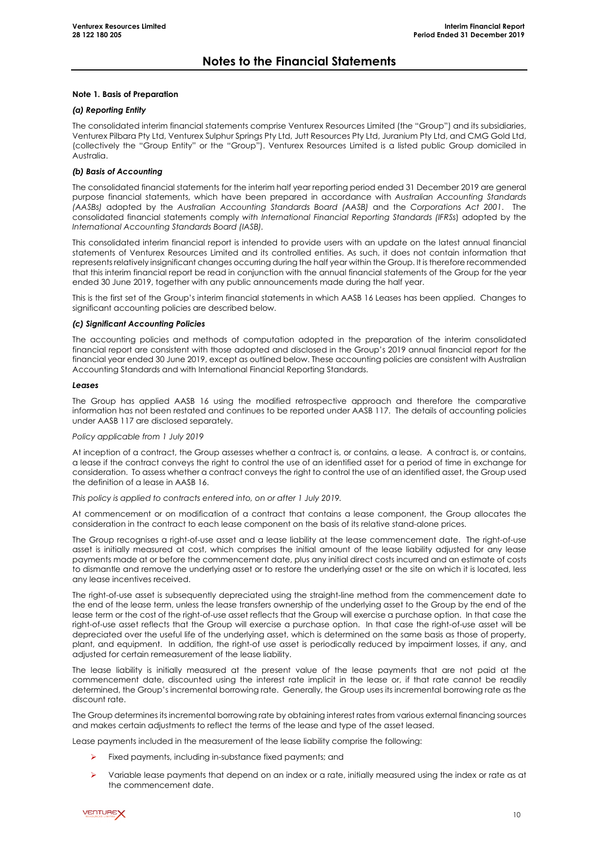#### **Note 1. Basis of Preparation**

#### *(a) Reporting Entity*

The consolidated interim financial statements comprise Venturex Resources Limited (the "Group") and its subsidiaries, Venturex Pilbara Pty Ltd, Venturex Sulphur Springs Pty Ltd, Jutt Resources Pty Ltd, Juranium Pty Ltd, and CMG Gold Ltd, (collectively the "Group Entity" or the "Group"). Venturex Resources Limited is a listed public Group domiciled in Australia.

#### *(b) Basis of Accounting*

The consolidated financial statements for the interim half year reporting period ended 31 December 2019 are general purpose financial statements, which have been prepared in accordance with *Australian Accounting Standards (AASBs)* adopted by the *Australian Accounting Standards Board (AASB)* and the *Corporations Act 2001*. The consolidated financial statements comply *with International Financial Reporting Standards (IFRSs*) adopted by the *International Accounting Standards Board (IASB).*

This consolidated interim financial report is intended to provide users with an update on the latest annual financial statements of Venturex Resources Limited and its controlled entities. As such, it does not contain information that represents relatively insignificant changes occurring during the half year within the Group. It is therefore recommended that this interim financial report be read in conjunction with the annual financial statements of the Group for the year ended 30 June 2019, together with any public announcements made during the half year.

This is the first set of the Group's interim financial statements in which AASB 16 Leases has been applied. Changes to significant accounting policies are described below.

### *(c) Significant Accounting Policies*

The accounting policies and methods of computation adopted in the preparation of the interim consolidated financial report are consistent with those adopted and disclosed in the Group's 2019 annual financial report for the financial year ended 30 June 2019, except as outlined below. These accounting policies are consistent with Australian Accounting Standards and with International Financial Reporting Standards.

#### *Leases*

The Group has applied AASB 16 using the modified retrospective approach and therefore the comparative information has not been restated and continues to be reported under AASB 117. The details of accounting policies under AASB 117 are disclosed separately.

#### *Policy applicable from 1 July 2019*

At inception of a contract, the Group assesses whether a contract is, or contains, a lease. A contract is, or contains, a lease if the contract conveys the right to control the use of an identified asset for a period of time in exchange for consideration. To assess whether a contract conveys the right to control the use of an identified asset, the Group used the definition of a lease in AASB 16.

*This policy is applied to contracts entered into, on or after 1 July 2019.*

At commencement or on modification of a contract that contains a lease component, the Group allocates the consideration in the contract to each lease component on the basis of its relative stand-alone prices.

The Group recognises a right-of-use asset and a lease liability at the lease commencement date. The right-of-use asset is initially measured at cost, which comprises the initial amount of the lease liability adjusted for any lease payments made at or before the commencement date, plus any initial direct costs incurred and an estimate of costs to dismantle and remove the underlying asset or to restore the underlying asset or the site on which it is located, less any lease incentives received.

The right-of-use asset is subsequently depreciated using the straight-line method from the commencement date to the end of the lease term, unless the lease transfers ownership of the underlying asset to the Group by the end of the lease term or the cost of the right-of-use asset reflects that the Group will exercise a purchase option. In that case the right-of-use asset reflects that the Group will exercise a purchase option. In that case the right-of-use asset will be depreciated over the useful life of the underlying asset, which is determined on the same basis as those of property, plant, and equipment. In addition, the right-of use asset is periodically reduced by impairment losses, if any, and adjusted for certain remeasurement of the lease liability.

The lease liability is initially measured at the present value of the lease payments that are not paid at the commencement date, discounted using the interest rate implicit in the lease or, if that rate cannot be readily determined, the Group's incremental borrowing rate. Generally, the Group uses its incremental borrowing rate as the discount rate.

The Group determines its incremental borrowing rate by obtaining interest rates from various external financing sources and makes certain adjustments to reflect the terms of the lease and type of the asset leased.

Lease payments included in the measurement of the lease liability comprise the following:

- Fixed payments, including in-substance fixed payments; and
- Variable lease payments that depend on an index or a rate, initially measured using the index or rate as at the commencement date.

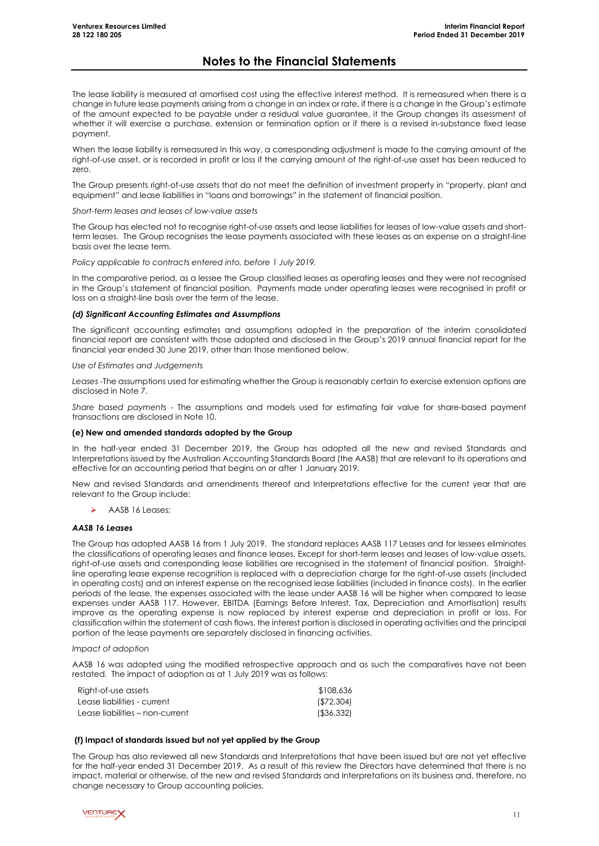The lease liability is measured at amortised cost using the effective interest method. It is remeasured when there is a change in future lease payments arising from a change in an index or rate, if there is a change in the Group's estimate of the amount expected to be payable under a residual value guarantee, it the Group changes its assessment of whether it will exercise a purchase, extension or termination option or if there is a revised in-substance fixed lease payment.

When the lease liability is remeasured in this way, a corresponding adjustment is made to the carrying amount of the right-of-use asset, or is recorded in profit or loss if the carrying amount of the right-of-use asset has been reduced to zero.

The Group presents right-of-use assets that do not meet the definition of investment property in "property, plant and equipment" and lease liabilities in "loans and borrowings" in the statement of financial position.

*Short-term leases and leases of low-value assets*

The Group has elected not to recognise right-of-use assets and lease liabilities for leases of low-value assets and shortterm leases. The Group recognises the lease payments associated with these leases as an expense on a straight-line basis over the lease term.

*Policy applicable to contracts entered into, before 1 July 2019.*

In the comparative period, as a lessee the Group classified leases as operating leases and they were not recognised in the Group's statement of financial position. Payments made under operating leases were recognised in profit or loss on a straight-line basis over the term of the lease.

#### *(d) Significant Accounting Estimates and Assumptions*

The significant accounting estimates and assumptions adopted in the preparation of the interim consolidated financial report are consistent with those adopted and disclosed in the Group's 2019 annual financial report for the financial year ended 30 June 2019, other than those mentioned below.

*Use of Estimates and Judgements*

*Leases -*The assumptions used for estimating whether the Group is reasonably certain to exercise extension options are disclosed in Note 7.

*Share based payments -* The assumptions and models used for estimating fair value for share-based payment transactions are disclosed in Note 10.

### **(e) New and amended standards adopted by the Group**

In the half-year ended 31 December 2019, the Group has adopted all the new and revised Standards and Interpretations issued by the Australian Accounting Standards Board (the AASB) that are relevant to its operations and effective for an accounting period that begins on or after 1 January 2019.

New and revised Standards and amendments thereof and Interpretations effective for the current year that are relevant to the Group include:

AASB 16 Leases;

### *AASB 16 Leases*

The Group has adopted AASB 16 from 1 July 2019. The standard replaces AASB 117 Leases and for lessees eliminates the classifications of operating leases and finance leases. Except for short-term leases and leases of low-value assets, right-of-use assets and corresponding lease liabilities are recognised in the statement of financial position. Straightline operating lease expense recognition is replaced with a depreciation charge for the right-of-use assets (included in operating costs) and an interest expense on the recognised lease liabilities (included in finance costs). In the earlier periods of the lease, the expenses associated with the lease under AASB 16 will be higher when compared to lease expenses under AASB 117. However, EBITDA (Earnings Before Interest, Tax, Depreciation and Amortisation) results improve as the operating expense is now replaced by interest expense and depreciation in profit or loss. For classification within the statement of cash flows, the interest portion is disclosed in operating activities and the principal portion of the lease payments are separately disclosed in financing activities.

*Impact of adoption*

AASB 16 was adopted using the modified retrospective approach and as such the comparatives have not been restated. The impact of adoption as at 1 July 2019 was as follows:

| Right-of-use assets             | \$108,636     |
|---------------------------------|---------------|
| Lease liabilities - current     | ( \$72, 304)  |
| Lease liabilities – non-current | $($ \$36,332) |

### **(f) Impact of standards issued but not yet applied by the Group**

The Group has also reviewed all new Standards and Interpretations that have been issued but are not yet effective for the half-year ended 31 December 2019. As a result of this review the Directors have determined that there is no impact, material or otherwise, of the new and revised Standards and Interpretations on its business and, therefore, no change necessary to Group accounting policies.

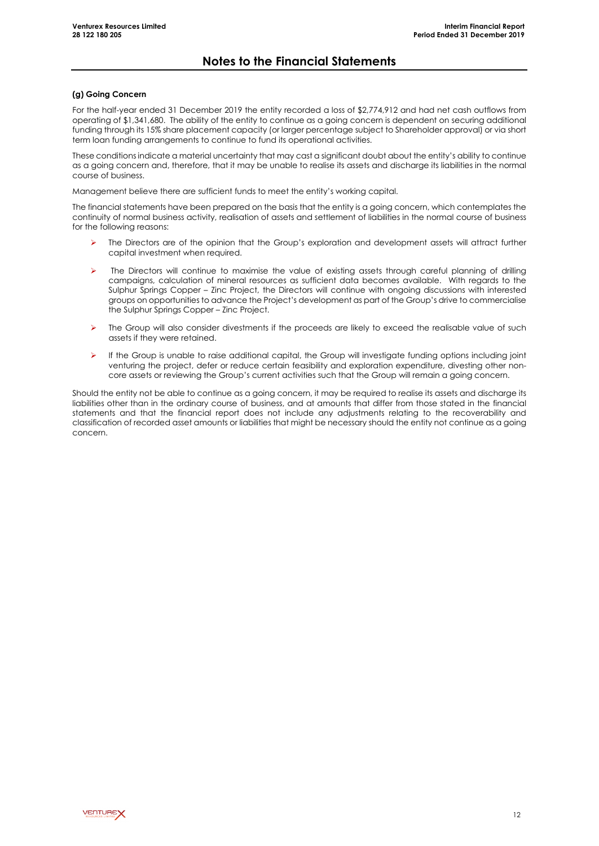### **(g) Going Concern**

For the half-year ended 31 December 2019 the entity recorded a loss of \$2,774,912 and had net cash outflows from operating of \$1,341,680. The ability of the entity to continue as a going concern is dependent on securing additional funding through its 15% share placement capacity (or larger percentage subject to Shareholder approval) or via short term loan funding arrangements to continue to fund its operational activities.

These conditions indicate a material uncertainty that may cast a significant doubt about the entity's ability to continue as a going concern and, therefore, that it may be unable to realise its assets and discharge its liabilities in the normal course of business.

Management believe there are sufficient funds to meet the entity's working capital.

The financial statements have been prepared on the basis that the entity is a going concern, which contemplates the continuity of normal business activity, realisation of assets and settlement of liabilities in the normal course of business for the following reasons:

- The Directors are of the opinion that the Group's exploration and development assets will attract further capital investment when required.
- The Directors will continue to maximise the value of existing assets through careful planning of drilling campaigns, calculation of mineral resources as sufficient data becomes available. With regards to the Sulphur Springs Copper – Zinc Project, the Directors will continue with ongoing discussions with interested groups on opportunities to advance the Project's development as part of the Group's drive to commercialise the Sulphur Springs Copper – Zinc Project.
- $\triangleright$  The Group will also consider divestments if the proceeds are likely to exceed the realisable value of such assets if they were retained.
- $\triangleright$  If the Group is unable to raise additional capital, the Group will investigate funding options including joint venturing the project, defer or reduce certain feasibility and exploration expenditure, divesting other noncore assets or reviewing the Group's current activities such that the Group will remain a going concern.

Should the entity not be able to continue as a going concern, it may be required to realise its assets and discharge its liabilities other than in the ordinary course of business, and at amounts that differ from those stated in the financial statements and that the financial report does not include any adjustments relating to the recoverability and classification of recorded asset amounts or liabilities that might be necessary should the entity not continue as a going concern.

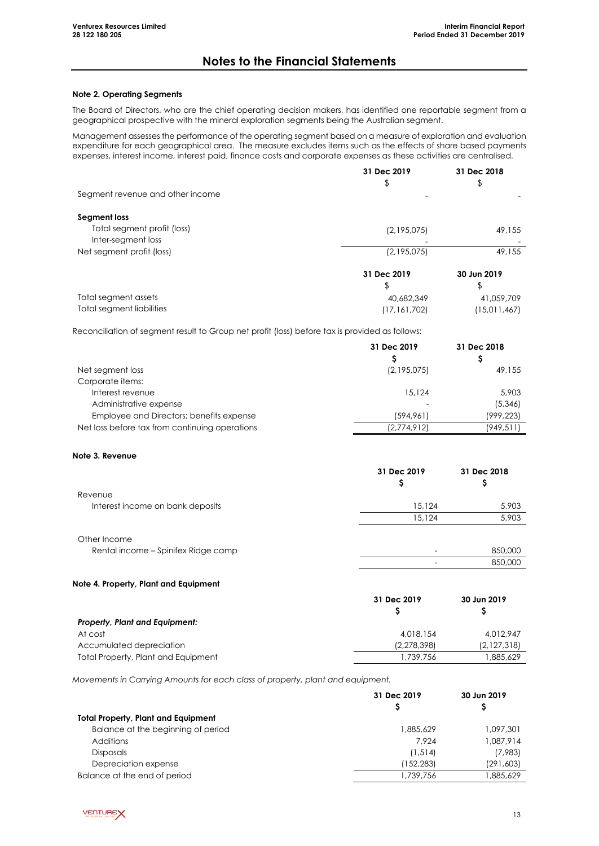### **Note 2. Operating Segments**

The Board of Directors, who are the chief operating decision makers, has identified one reportable segment from a geographical prospective with the mineral exploration segments being the Australian segment.

Management assesses the performance of the operating segment based on a measure of exploration and evaluation expenditure for each geographical area. The measure excludes items such as the effects of share based payments expenses, interest income, interest paid, finance costs and corporate expenses as these activities are centralised.

|                                  | 31 Dec 2019    | 31 Dec 2018  |
|----------------------------------|----------------|--------------|
|                                  | \$             | \$           |
| Segment revenue and other income |                |              |
| Segment loss                     |                |              |
| Total segment profit (loss)      | (2,195,075)    | 49,155       |
| Inter-segment loss               |                |              |
| Net segment profit (loss)        | (2,195,075)    | 49,155       |
|                                  | 31 Dec 2019    | 30 Jun 2019  |
|                                  | \$             | \$           |
| Total segment assets             | 40,682,349     | 41.059.709   |
| Total segment liabilities        | (17, 161, 702) | (15,011,467) |

Reconciliation of segment result to Group net profit (loss) before tax is provided as follows:

|                                                | 31 Dec 2019 | 31 Dec 2018 |
|------------------------------------------------|-------------|-------------|
| Net segment loss                               | (2,195,075) | 49,155      |
| Corporate items:                               |             |             |
| Interest revenue                               | 15.124      | 5,903       |
| Administrative expense                         |             | (5, 346)    |
| Employee and Directors; benefits expense       | (594, 961)  | (999, 223)  |
| Net loss before tax from continuing operations | (2,774,912) | (949, 511)  |

### **Note 3. Revenue**

|                                     | 31 Dec 2019 | 31 Dec 2018 |
|-------------------------------------|-------------|-------------|
| Revenue                             |             |             |
| Interest income on bank deposits    | 15.124      | 5,903       |
|                                     | 15.124      | 5,903       |
| Other Income                        |             |             |
| Rental income – Spinifex Ridge camp |             | 850,000     |
|                                     |             | 850,000     |

### **Note 4. Property, Plant and Equipment**

|                                            | 31 Dec 2019 | 30 Jun 2019 |
|--------------------------------------------|-------------|-------------|
|                                            |             |             |
| <b>Property, Plant and Equipment:</b>      |             |             |
| At cost                                    | 4,018,154   | 4.012.947   |
| Accumulated depreciation                   | (2,278,398) | (2,127,318) |
| <b>Total Property, Plant and Equipment</b> | 1.739.756   | .885.629    |

*Movements in Carrying Amounts for each class of property, plant and equipment.*

|                                            | 31 Dec 2019 | 30 Jun 2019 |
|--------------------------------------------|-------------|-------------|
| <b>Total Property, Plant and Equipment</b> |             |             |
| Balance at the beginning of period         | 1.885.629   | 1.097,301   |
| Additions                                  | 7.924       | 1.087.914   |
| <b>Disposals</b>                           | (1, 514)    | (7,983)     |
| Depreciation expense                       | (152,283)   | (291, 603)  |
| Balance at the end of period               | .739.756    | 1,885,629   |

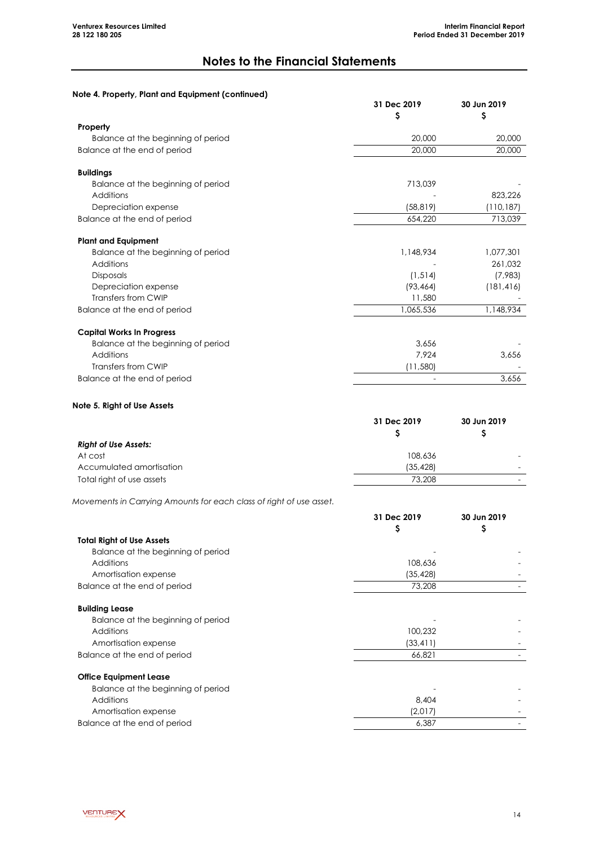# **Note 4. Property, Plant and Equipment (continued)**

|                                    | 31 Dec 2019<br>S | 30 Jun 2019<br>S |
|------------------------------------|------------------|------------------|
| Property                           |                  |                  |
| Balance at the beginning of period | 20,000           | 20,000           |
| Balance at the end of period       | 20,000           | 20,000           |
| <b>Buildings</b>                   |                  |                  |
| Balance at the beginning of period | 713,039          |                  |
| Additions                          |                  | 823,226          |
| Depreciation expense               | (58, 819)        | (110, 187)       |
| Balance at the end of period       | 654,220          | 713,039          |
| <b>Plant and Equipment</b>         |                  |                  |
| Balance at the beginning of period | 1,148,934        | 1,077,301        |
| Additions                          |                  | 261,032          |
| <b>Disposals</b>                   | (1, 514)         | (7,983)          |
| Depreciation expense               | (93, 464)        | (181, 416)       |
| Transfers from CWIP                | 11,580           |                  |
| Balance at the end of period       | 1,065,536        | 1,148,934        |
| <b>Capital Works In Progress</b>   |                  |                  |
| Balance at the beginning of period | 3,656            |                  |
| Additions                          | 7,924            | 3,656            |
| Transfers from CWIP                | (11,580)         |                  |
| Balance at the end of period       |                  | 3,656            |

#### **Note 5. Right of Use Assets**

|                             | 31 Dec 2019 |  |
|-----------------------------|-------------|--|
|                             |             |  |
| <b>Right of Use Assets:</b> |             |  |
| At cost                     | 108,636     |  |
| Accumulated amortisation    | (35.428)    |  |
| Total right of use assets   | 73,208      |  |

*Movements in Carrying Amounts for each class of right of use asset.*

|                                    | 31 Dec 2019 | 30 Jun 2019 |
|------------------------------------|-------------|-------------|
|                                    | Ş           | Ş           |
| <b>Total Right of Use Assets</b>   |             |             |
| Balance at the beginning of period |             |             |
| Additions                          | 108,636     |             |
| Amortisation expense               | (35, 428)   |             |
| Balance at the end of period       | 73,208      |             |
| <b>Building Lease</b>              |             |             |
| Balance at the beginning of period |             |             |
| <b>Additions</b>                   | 100,232     |             |
| Amortisation expense               | (33, 411)   |             |
| Balance at the end of period       | 66,821      |             |
| <b>Office Equipment Lease</b>      |             |             |
| Balance at the beginning of period |             |             |
| Additions                          | 8,404       |             |
| Amortisation expense               | (2,017)     |             |
| Balance at the end of period       | 6,387       |             |

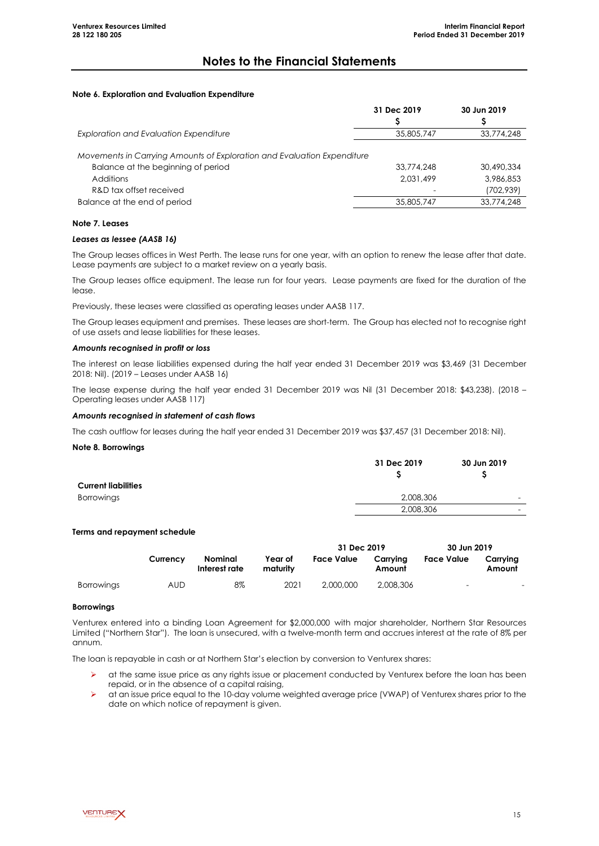### **Note 6. Exploration and Evaluation Expenditure**

|                                                                                                                                                       | 31 Dec 2019             | 30 Jun 2019                           |
|-------------------------------------------------------------------------------------------------------------------------------------------------------|-------------------------|---------------------------------------|
|                                                                                                                                                       |                         |                                       |
| <b>Exploration and Evaluation Expenditure</b>                                                                                                         | 35,805,747              | 33,774,248                            |
| Movements in Carrying Amounts of Exploration and Evaluation Expenditure<br>Balance at the beginning of period<br>Additions<br>R&D tax offset received | 33,774,248<br>2.031.499 | 30,490,334<br>3,986,853<br>(702, 939) |
| Balance at the end of period                                                                                                                          | 35,805,747              | 33,774,248                            |
|                                                                                                                                                       |                         |                                       |

#### **Note 7. Leases**

#### *Leases as lessee (AASB 16)*

The Group leases offices in West Perth. The lease runs for one year, with an option to renew the lease after that date. Lease payments are subject to a market review on a yearly basis.

The Group leases office equipment. The lease run for four years. Lease payments are fixed for the duration of the lease.

Previously, these leases were classified as operating leases under AASB 117.

The Group leases equipment and premises. These leases are short-term. The Group has elected not to recognise right of use assets and lease liabilities for these leases.

#### *Amounts recognised in profit or loss*

The interest on lease liabilities expensed during the half year ended 31 December 2019 was \$3,469 (31 December 2018: Nil). (2019 – Leases under AASB 16)

The lease expense during the half year ended 31 December 2019 was Nil (31 December 2018: \$43,238). (2018 – Operating leases under AASB 117)

#### *Amounts recognised in statement of cash flows*

The cash outflow for leases during the half year ended 31 December 2019 was \$37,457 (31 December 2018: Nil).

#### **Note 8. Borrowings**

|                            | 31 Dec 2019 | 30 Jun 2019              |
|----------------------------|-------------|--------------------------|
| <b>Current liabilities</b> |             |                          |
| Borrowings                 | 2,008,306   |                          |
|                            | 2,008,306   | $\overline{\phantom{0}}$ |
|                            |             |                          |

### **Terms and repayment schedule**

|                   |          |                          |                     | 31 Dec 2019       |                    | 30 Jun 2019              |                    |
|-------------------|----------|--------------------------|---------------------|-------------------|--------------------|--------------------------|--------------------|
|                   | Currency | Nominal<br>Interest rate | Year of<br>maturity | <b>Face Value</b> | Carrvina<br>Amount | <b>Face Value</b>        | Carrvina<br>Amount |
| <b>Borrowings</b> | AUD      | 8%                       | 2021                | 2,000,000         | 2.008.306          | $\overline{\phantom{0}}$ | -                  |

#### **Borrowings**

Venturex entered into a binding Loan Agreement for \$2,000,000 with major shareholder, Northern Star Resources Limited ("Northern Star"). The loan is unsecured, with a twelve-month term and accrues interest at the rate of 8% per annum.

The loan is repayable in cash or at Northern Star's election by conversion to Venturex shares:

- $\triangleright$  at the same issue price as any rights issue or placement conducted by Venturex before the loan has been repaid, or in the absence of a capital raising,
- at an issue price equal to the 10-day volume weighted average price (VWAP) of Venturex shares prior to the date on which notice of repayment is given.

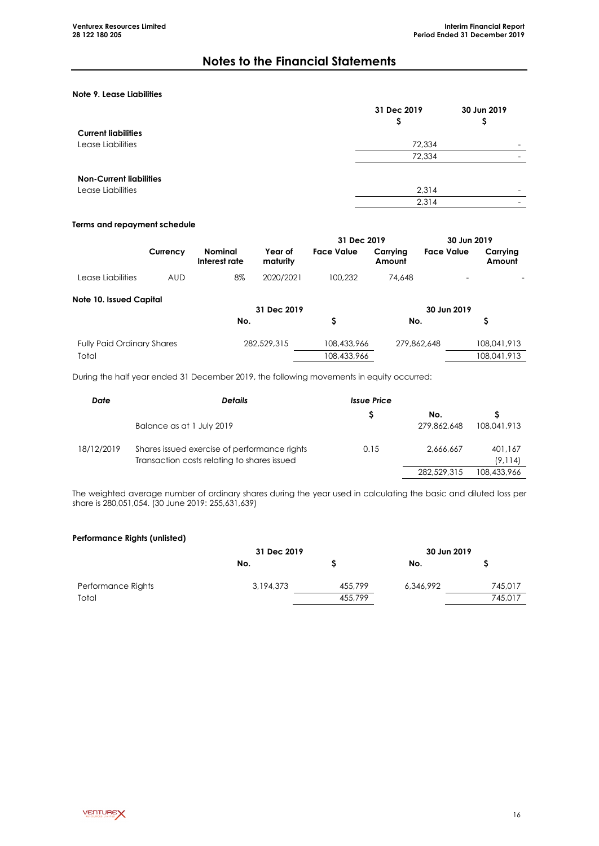# **Note 9. Lease Liabilities**

|                                | 31 Dec 2019<br>Ş | 30 Jun 2019<br>Ş |
|--------------------------------|------------------|------------------|
| <b>Current liabilities</b>     |                  |                  |
| Lease Liabilities              | 72,334           | -                |
|                                | 72,334           |                  |
| <b>Non-Current liabilities</b> |                  |                  |
| Lease Liabilities              | 2,314            |                  |
|                                | 2,314            | -                |

### **Terms and repayment schedule**

|                   |          |                          |                     | 31 Dec 2019 |                    | 30 Jun 2019              |                    |
|-------------------|----------|--------------------------|---------------------|-------------|--------------------|--------------------------|--------------------|
|                   | Currency | Nominal<br>Interest rate | Year of<br>maturity | Face Value  | Carrvina<br>Amount | Face Value               | Carrvina<br>Amount |
| Lease Liabilities | AUD      | 8%                       | 2020/2021           | 100.232     | 74.648             | $\overline{\phantom{0}}$ |                    |

| Note 10. Issued Capital           | 31 Dec 2019 |             | 30 Jun 2019 |             |
|-----------------------------------|-------------|-------------|-------------|-------------|
|                                   | No.         |             | No.         |             |
| <b>Fully Paid Ordinary Shares</b> | 282,529,315 | 108,433,966 | 279,862,648 | 108,041,913 |
| Total                             |             | 108,433,966 |             | 108,041,913 |

During the half year ended 31 December 2019, the following movements in equity occurred:

| Date       | <b>Details</b>                                                                              | <b>Issue Price</b> |             |                     |
|------------|---------------------------------------------------------------------------------------------|--------------------|-------------|---------------------|
|            |                                                                                             |                    | No.         |                     |
|            | Balance as at 1 July 2019                                                                   |                    | 279,862,648 | 108,041,913         |
| 18/12/2019 | Shares issued exercise of performance rights<br>Transaction costs relating to shares issued | 0.15               | 2.666.667   | 401.167<br>(9, 114) |
|            |                                                                                             |                    | 282,529,315 | 108,433,966         |

The weighted average number of ordinary shares during the year used in calculating the basic and diluted loss per share is 280,051,054. (30 June 2019: 255,631,639)

#### **Performance Rights (unlisted)**

|                    | 31 Dec 2019 |         | 30 Jun 2019 |         |
|--------------------|-------------|---------|-------------|---------|
|                    | No.         |         | No.         |         |
| Performance Rights | 3,194,373   | 455,799 | 6,346,992   | 745,017 |
| Total              |             | 455,799 |             | 745,017 |

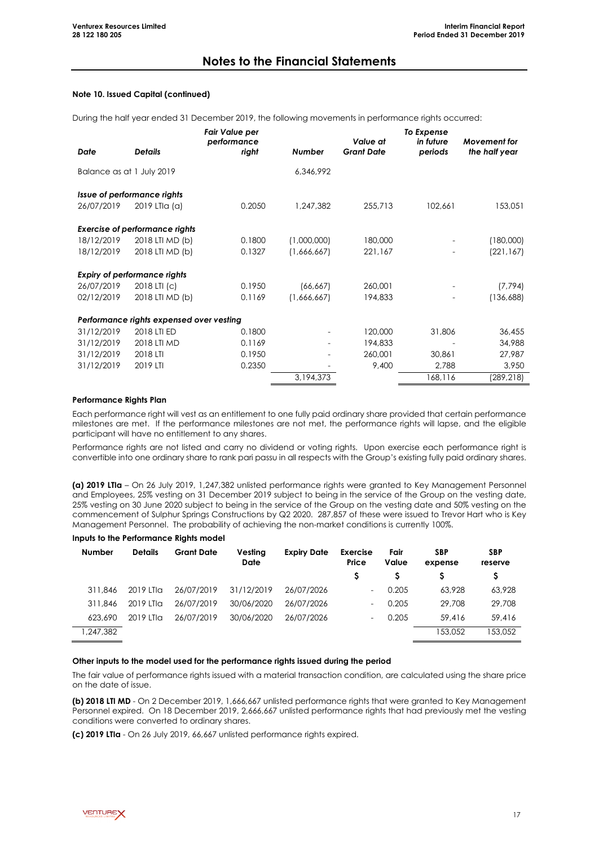### **Note 10. Issued Capital (continued)**

During the half year ended 31 December 2019, the following movements in performance rights occurred:

| Date                      | <b>Details</b>                                                              | Fair Value per<br>performance<br>right | Number                     | Value at<br><b>Grant Date</b> | To Expense<br>in future<br>periods | <b>Movement</b> for<br>the half year |
|---------------------------|-----------------------------------------------------------------------------|----------------------------------------|----------------------------|-------------------------------|------------------------------------|--------------------------------------|
| Balance as at 1 July 2019 |                                                                             |                                        | 6,346,992                  |                               |                                    |                                      |
| 26/07/2019                | Issue of performance rights<br>2019 LTIa (a)                                | 0.2050                                 | 1,247,382                  | 255,713                       | 102,661                            | 153,051                              |
| 18/12/2019<br>18/12/2019  | <b>Exercise of performance rights</b><br>2018 LTI MD (b)<br>2018 LTI MD (b) | 0.1800<br>0.1327                       | (1,000,000)<br>(1,666,667) | 180,000<br>221,167            |                                    | (180,000)<br>(221, 167)              |
| 26/07/2019                | <b>Expiry of performance rights</b><br>2018 LTI (c)                         | 0.1950                                 |                            | 260,001                       |                                    | (7, 794)                             |
| 02/12/2019                | 2018 LTI MD (b)                                                             | 0.1169                                 | (66, 667)<br>(1,666,667)   | 194,833                       |                                    | (136,688)                            |
|                           | Performance rights expensed over vesting                                    |                                        |                            |                               |                                    |                                      |
| 31/12/2019                | 2018 LTI ED                                                                 | 0.1800                                 | $\overline{\phantom{0}}$   | 120,000                       | 31,806                             | 36,455                               |
| 31/12/2019                | 2018 LTI MD                                                                 | 0.1169                                 | $\overline{\phantom{0}}$   | 194,833                       |                                    | 34,988                               |
| 31/12/2019                | 2018 LTI                                                                    | 0.1950                                 |                            | 260,001                       | 30,861                             | 27,987                               |
| 31/12/2019                | 2019 LTI                                                                    | 0.2350                                 |                            | 9,400                         | 2,788                              | 3,950                                |
|                           |                                                                             |                                        | 3,194,373                  |                               | 168,116                            | (289, 218)                           |

#### **Performance Rights Plan**

Each performance right will vest as an entitlement to one fully paid ordinary share provided that certain performance milestones are met. If the performance milestones are not met, the performance rights will lapse, and the eligible participant will have no entitlement to any shares.

Performance rights are not listed and carry no dividend or voting rights. Upon exercise each performance right is convertible into one ordinary share to rank pari passu in all respects with the Group's existing fully paid ordinary shares.

**(a) 2019 LTIa** – On 26 July 2019, 1,247,382 unlisted performance rights were granted to Key Management Personnel and Employees, 25% vesting on 31 December 2019 subject to being in the service of the Group on the vesting date, 25% vesting on 30 June 2020 subject to being in the service of the Group on the vesting date and 50% vesting on the commencement of Sulphur Springs Constructions by Q2 2020. 287,857 of these were issued to Trevor Hart who is Key Management Personnel. The probability of achieving the non-market conditions is currently 100%.

#### **Inputs to the Performance Rights model**

| Number    | <b>Details</b>      | <b>Grant Date</b> | Vesting<br><b>Date</b> | <b>Expiry Date</b> | Exercise<br>Price | Fair<br>Value | <b>SBP</b><br>expense | <b>SBP</b><br>reserve |
|-----------|---------------------|-------------------|------------------------|--------------------|-------------------|---------------|-----------------------|-----------------------|
|           |                     |                   |                        |                    |                   |               |                       |                       |
| 311.846   | 2019 LTIa           | 26/07/2019        | 31/12/2019             | 26/07/2026         |                   | 0.205         | 63,928                | 63,928                |
| 311,846   | 2019 LTIa           | 26/07/2019        | 30/06/2020             | 26/07/2026         |                   | 0.205         | 29,708                | 29,708                |
| 623,690   | $2019$ LTI $\alpha$ | 26/07/2019        | 30/06/2020             | 26/07/2026         |                   | 0.205         | 59,416                | 59,416                |
| 1,247,382 |                     |                   |                        |                    |                   |               | 153.052               | 153.052               |

#### **Other inputs to the model used for the performance rights issued during the period**

The fair value of performance rights issued with a material transaction condition, are calculated using the share price on the date of issue.

**(b) 2018 LTI MD** - On 2 December 2019, 1,666,667 unlisted performance rights that were granted to Key Management Personnel expired. On 18 December 2019, 2,666,667 unlisted performance rights that had previously met the vesting conditions were converted to ordinary shares.

**(c) 2019 LTIa** - On 26 July 2019, 66,667 unlisted performance rights expired.

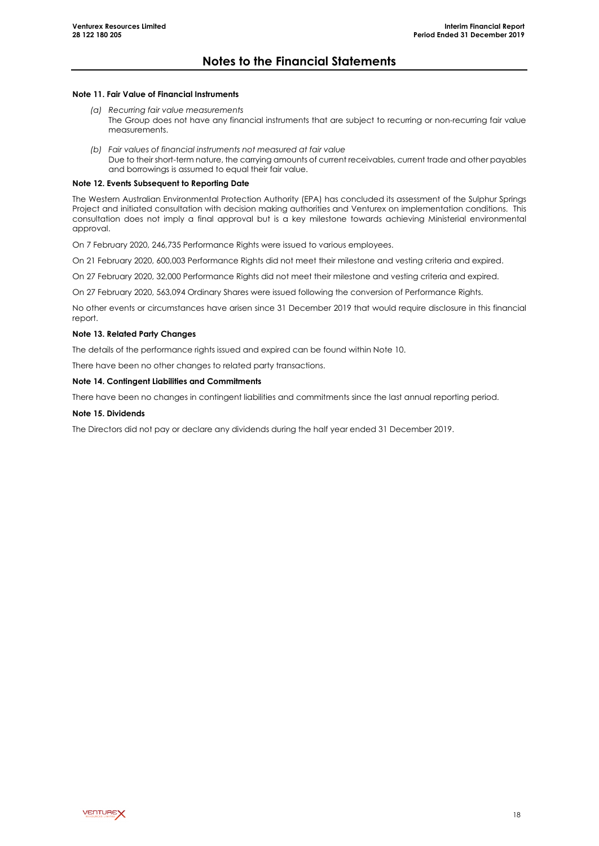### **Note 11. Fair Value of Financial Instruments**

- *(a) Recurring fair value measurements* The Group does not have any financial instruments that are subject to recurring or non-recurring fair value measurements.
- *(b) Fair values of financial instruments not measured at fair value* Due to their short-term nature, the carrying amounts of current receivables, current trade and other payables and borrowings is assumed to equal their fair value.

### **Note 12. Events Subsequent to Reporting Date**

The Western Australian Environmental Protection Authority (EPA) has concluded its assessment of the Sulphur Springs Project and initiated consultation with decision making authorities and Venturex on implementation conditions. This consultation does not imply a final approval but is a key milestone towards achieving Ministerial environmental approval.

On 7 February 2020, 246,735 Performance Rights were issued to various employees.

On 21 February 2020, 600,003 Performance Rights did not meet their milestone and vesting criteria and expired.

On 27 February 2020, 32,000 Performance Rights did not meet their milestone and vesting criteria and expired.

On 27 February 2020, 563,094 Ordinary Shares were issued following the conversion of Performance Rights.

No other events or circumstances have arisen since 31 December 2019 that would require disclosure in this financial report.

### **Note 13. Related Party Changes**

The details of the performance rights issued and expired can be found within Note 10.

There have been no other changes to related party transactions.

#### **Note 14. Contingent Liabilities and Commitments**

There have been no changes in contingent liabilities and commitments since the last annual reporting period.

#### **Note 15. Dividends**

The Directors did not pay or declare any dividends during the half year ended 31 December 2019.

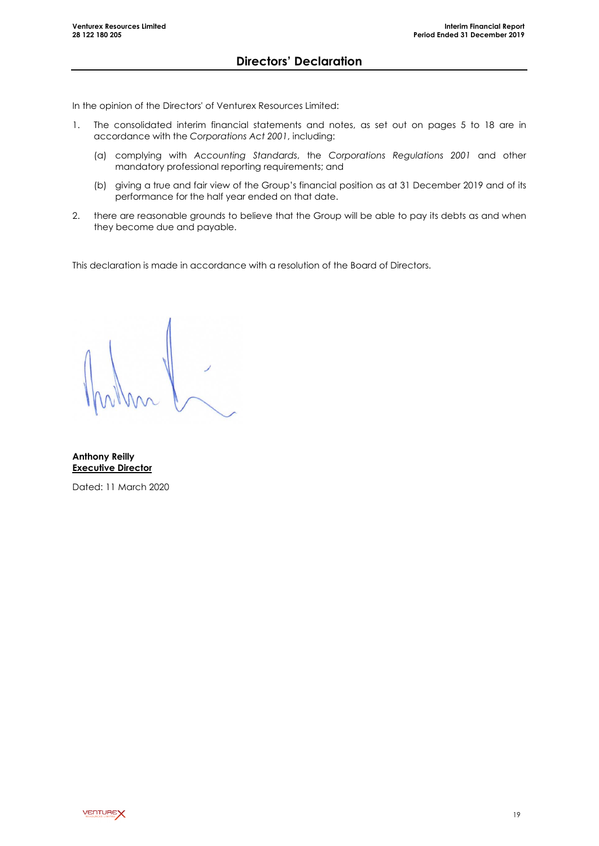In the opinion of the Directors' of Venturex Resources Limited:

- 1. The consolidated interim financial statements and notes, as set out on pages 5 to 18 are in accordance with the *Corporations Act 2001*, including:
	- (a) complying with *Accounting Standards*, the *Corporations Regulations 2001* and other mandatory professional reporting requirements; and
	- (b) giving a true and fair view of the Group's financial position as at 31 December 2019 and of its performance for the half year ended on that date.
- 2. there are reasonable grounds to believe that the Group will be able to pay its debts as and when they become due and payable.

This declaration is made in accordance with a resolution of the Board of Directors.

**Anthony Reilly Executive Director**

Dated: 11 March 2020

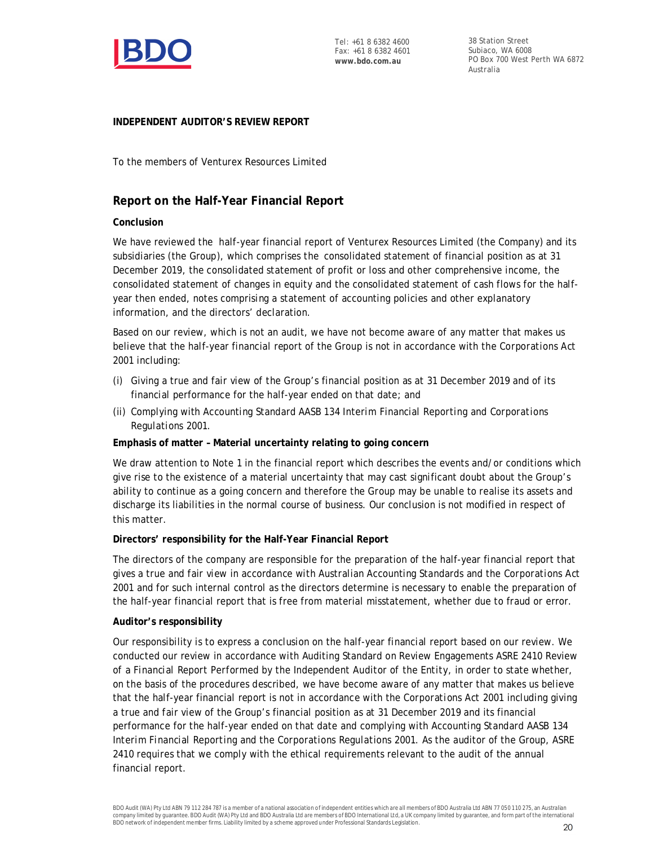

38 Station Street Subiaco, WA 6008 PO Box 700 West Perth WA 6872 Australia

# **INDEPENDENT AUDITOR'S REVIEW REPORT**

To the members of Venturex Resources Limited

# **Report on the Half-Year Financial Report**

# **Conclusion**

We have reviewed the half-year financial report of Venturex Resources Limited (the Company) and its subsidiaries (the Group), which comprises the consolidated statement of financial position as at 31 December 2019, the consolidated statement of profit or loss and other comprehensive income, the consolidated statement of changes in equity and the consolidated statement of cash flows for the halfyear then ended, notes comprising a statement of accounting policies and other explanatory information, and the directors' declaration.

Based on our review, which is not an audit, we have not become aware of any matter that makes us believe that the half-year financial report of the Group is not in accordance with the *Corporations Act 2001* including:

- (i) Giving a true and fair view of the Group's financial position as at 31 December 2019 and of its financial performance for the half-year ended on that date; and
- (ii) Complying with Accounting Standard AASB 134 *Interim Financial Reporting* and *Corporations Regulations 2001.*

**Emphasis of matter – Material uncertainty relating to going concern**

We draw attention to Note 1 in the financial report which describes the events and/or conditions which give rise to the existence of a material uncertainty that may cast significant doubt about the Group's ability to continue as a going concern and therefore the Group may be unable to realise its assets and discharge its liabilities in the normal course of business. Our conclusion is not modified in respect of this matter.

# **Directors' responsibility for the Half-Year Financial Report**

The directors of the company are responsible for the preparation of the half-year financial report that gives a true and fair view in accordance with Australian Accounting Standards and the *Corporations Act 2001* and for such internal control as the directors determine is necessary to enable the preparation of the half-year financial report that is free from material misstatement, whether due to fraud or error.

# **Auditor's responsibility**

Our responsibility is to express a conclusion on the half-year financial report based on our review. We conducted our review in accordance with Auditing Standard on Review Engagements ASRE 2410 *Review of a Financial Report Performed by the Independent Auditor of the Entity*, in order to state whether, on the basis of the procedures described, we have become aware of any matter that makes us believe that the half-year financial report is not in accordance with the *Corporations Act 2001* including giving a true and fair view of the Group's financial position as at 31 December 2019 and its financial performance for the half-year ended on that date and complying with Accounting Standard AASB 134 *Interim Financial Reporting* and the *Corporations Regulations 2001*. As the auditor of the Group, ASRE 2410 requires that we comply with the ethical requirements relevant to the audit of the annual financial report.